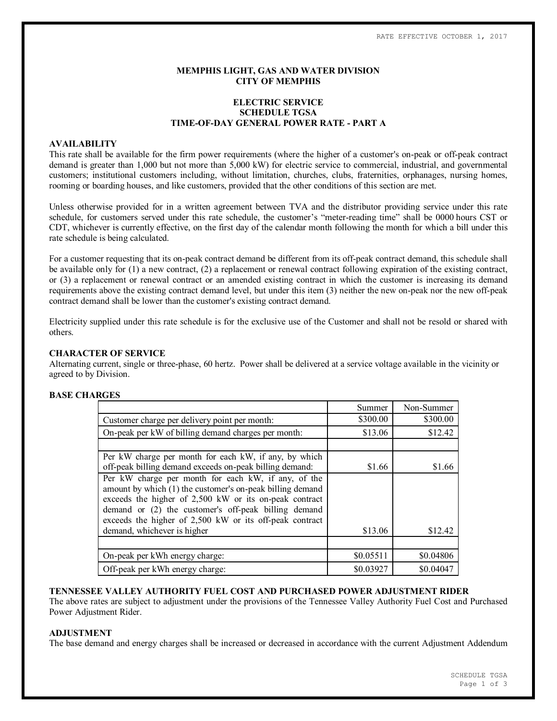### **MEMPHIS LIGHT, GAS AND WATER DIVISION CITY OF MEMPHIS**

# **ELECTRIC SERVICE SCHEDULE TGSA TIME-OF-DAY GENERAL POWER RATE - PART A**

#### **AVAILABILITY**

This rate shall be available for the firm power requirements (where the higher of a customer's on-peak or off-peak contract demand is greater than 1,000 but not more than 5,000 kW) for electric service to commercial, industrial, and governmental customers; institutional customers including, without limitation, churches, clubs, fraternities, orphanages, nursing homes, rooming or boarding houses, and like customers, provided that the other conditions of this section are met.

Unless otherwise provided for in a written agreement between TVA and the distributor providing service under this rate schedule, for customers served under this rate schedule, the customer's "meter-reading time" shall be 0000 hours CST or CDT, whichever is currently effective, on the first day of the calendar month following the month for which a bill under this rate schedule is being calculated.

For a customer requesting that its on-peak contract demand be different from its off-peak contract demand, this schedule shall be available only for (1) a new contract, (2) a replacement or renewal contract following expiration of the existing contract, or (3) a replacement or renewal contract or an amended existing contract in which the customer is increasing its demand requirements above the existing contract demand level, but under this item (3) neither the new on-peak nor the new off-peak contract demand shall be lower than the customer's existing contract demand.

Electricity supplied under this rate schedule is for the exclusive use of the Customer and shall not be resold or shared with others.

#### **CHARACTER OF SERVICE**

Alternating current, single or three-phase, 60 hertz. Power shall be delivered at a service voltage available in the vicinity or agreed to by Division.

### **BASE CHARGES**

|                                                                                                                                                                                                                                                                                                                              | Summer    | Non-Summer |
|------------------------------------------------------------------------------------------------------------------------------------------------------------------------------------------------------------------------------------------------------------------------------------------------------------------------------|-----------|------------|
| Customer charge per delivery point per month:                                                                                                                                                                                                                                                                                | \$300.00  | \$300.00   |
| On-peak per kW of billing demand charges per month:                                                                                                                                                                                                                                                                          | \$13.06   | \$12.42    |
|                                                                                                                                                                                                                                                                                                                              |           |            |
| Per kW charge per month for each kW, if any, by which<br>off-peak billing demand exceeds on-peak billing demand:                                                                                                                                                                                                             | \$1.66    | \$1.66     |
| Per kW charge per month for each kW, if any, of the<br>amount by which (1) the customer's on-peak billing demand<br>exceeds the higher of 2,500 kW or its on-peak contract<br>demand or (2) the customer's off-peak billing demand<br>exceeds the higher of 2,500 kW or its off-peak contract<br>demand, whichever is higher | \$13.06   | \$12.42    |
|                                                                                                                                                                                                                                                                                                                              |           |            |
| On-peak per kWh energy charge:                                                                                                                                                                                                                                                                                               | \$0.05511 | \$0.04806  |
| Off-peak per kWh energy charge:                                                                                                                                                                                                                                                                                              | \$0.03927 | \$0.04047  |

#### **TENNESSEE VALLEY AUTHORITY FUEL COST AND PURCHASED POWER ADJUSTMENT RIDER**

The above rates are subject to adjustment under the provisions of the Tennessee Valley Authority Fuel Cost and Purchased Power Adjustment Rider.

### **ADJUSTMENT**

The base demand and energy charges shall be increased or decreased in accordance with the current Adjustment Addendum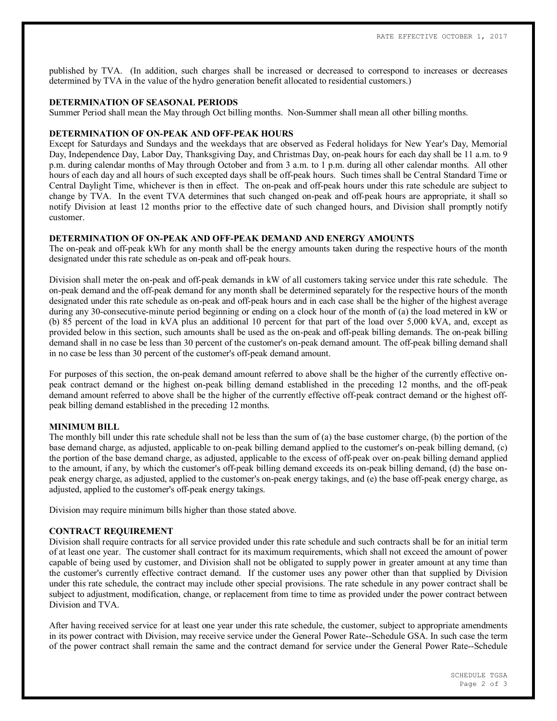published by TVA. (In addition, such charges shall be increased or decreased to correspond to increases or decreases determined by TVA in the value of the hydro generation benefit allocated to residential customers.)

#### **DETERMINATION OF SEASONAL PERIODS**

Summer Period shall mean the May through Oct billing months. Non-Summer shall mean all other billing months.

### **DETERMINATION OF ON-PEAK AND OFF-PEAK HOURS**

Except for Saturdays and Sundays and the weekdays that are observed as Federal holidays for New Year's Day, Memorial Day, Independence Day, Labor Day, Thanksgiving Day, and Christmas Day, on-peak hours for each day shall be 11 a.m. to 9 p.m. during calendar months of May through October and from 3 a.m. to 1 p.m. during all other calendar months. All other hours of each day and all hours of such excepted days shall be off-peak hours. Such times shall be Central Standard Time or Central Daylight Time, whichever is then in effect. The on-peak and off-peak hours under this rate schedule are subject to change by TVA. In the event TVA determines that such changed on-peak and off-peak hours are appropriate, it shall so notify Division at least 12 months prior to the effective date of such changed hours, and Division shall promptly notify customer.

### **DETERMINATION OF ON-PEAK AND OFF-PEAK DEMAND AND ENERGY AMOUNTS**

The on-peak and off-peak kWh for any month shall be the energy amounts taken during the respective hours of the month designated under this rate schedule as on-peak and off-peak hours.

Division shall meter the on-peak and off-peak demands in kW of all customers taking service under this rate schedule. The on-peak demand and the off-peak demand for any month shall be determined separately for the respective hours of the month designated under this rate schedule as on-peak and off-peak hours and in each case shall be the higher of the highest average during any 30-consecutive-minute period beginning or ending on a clock hour of the month of (a) the load metered in kW or (b) 85 percent of the load in kVA plus an additional 10 percent for that part of the load over 5,000 kVA, and, except as provided below in this section, such amounts shall be used as the on-peak and off-peak billing demands. The on-peak billing demand shall in no case be less than 30 percent of the customer's on-peak demand amount. The off-peak billing demand shall in no case be less than 30 percent of the customer's off-peak demand amount.

For purposes of this section, the on-peak demand amount referred to above shall be the higher of the currently effective onpeak contract demand or the highest on-peak billing demand established in the preceding 12 months, and the off-peak demand amount referred to above shall be the higher of the currently effective off-peak contract demand or the highest offpeak billing demand established in the preceding 12 months.

#### **MINIMUM BILL**

The monthly bill under this rate schedule shall not be less than the sum of (a) the base customer charge, (b) the portion of the base demand charge, as adjusted, applicable to on-peak billing demand applied to the customer's on-peak billing demand, (c) the portion of the base demand charge, as adjusted, applicable to the excess of off-peak over on-peak billing demand applied to the amount, if any, by which the customer's off-peak billing demand exceeds its on-peak billing demand, (d) the base onpeak energy charge, as adjusted, applied to the customer's on-peak energy takings, and (e) the base off-peak energy charge, as adjusted, applied to the customer's off-peak energy takings.

Division may require minimum bills higher than those stated above.

#### **CONTRACT REQUIREMENT**

Division shall require contracts for all service provided under this rate schedule and such contracts shall be for an initial term of at least one year. The customer shall contract for its maximum requirements, which shall not exceed the amount of power capable of being used by customer, and Division shall not be obligated to supply power in greater amount at any time than the customer's currently effective contract demand. If the customer uses any power other than that supplied by Division under this rate schedule, the contract may include other special provisions. The rate schedule in any power contract shall be subject to adjustment, modification, change, or replacement from time to time as provided under the power contract between Division and TVA.

After having received service for at least one year under this rate schedule, the customer, subject to appropriate amendments in its power contract with Division, may receive service under the General Power Rate--Schedule GSA. In such case the term of the power contract shall remain the same and the contract demand for service under the General Power Rate--Schedule